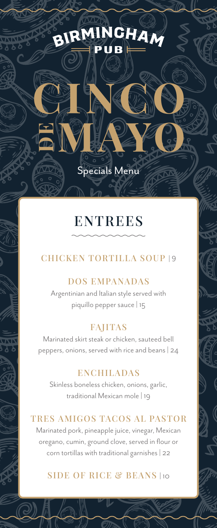# BIRMINGHAM

**CINCO**

**MAYO**

**DE**

# **ENTREES**

Specials Menu

# **CHICKEN TORTILLA SOUP** | 9

#### **DOS EMPANADAS**

Argentinian and Italian style served with piquillo pepper sauce | 15

# **FAJITAS**

Marinated skirt steak or chicken, sauteed bell peppers, onions, served with rice and beans | 24

### **ENCHILADAS**

Skinless boneless chicken, onions, garlic, traditional Mexican mole | 19

#### **TRES AMIGOS TACOS AL PASTOR**

Marinated pork, pineapple juice, vinegar, Mexican oregano, cumin, ground clove, served in flour or corn tortillas with traditional garnishes | 22

## **SIDE OF RICE & BEANS** | 10